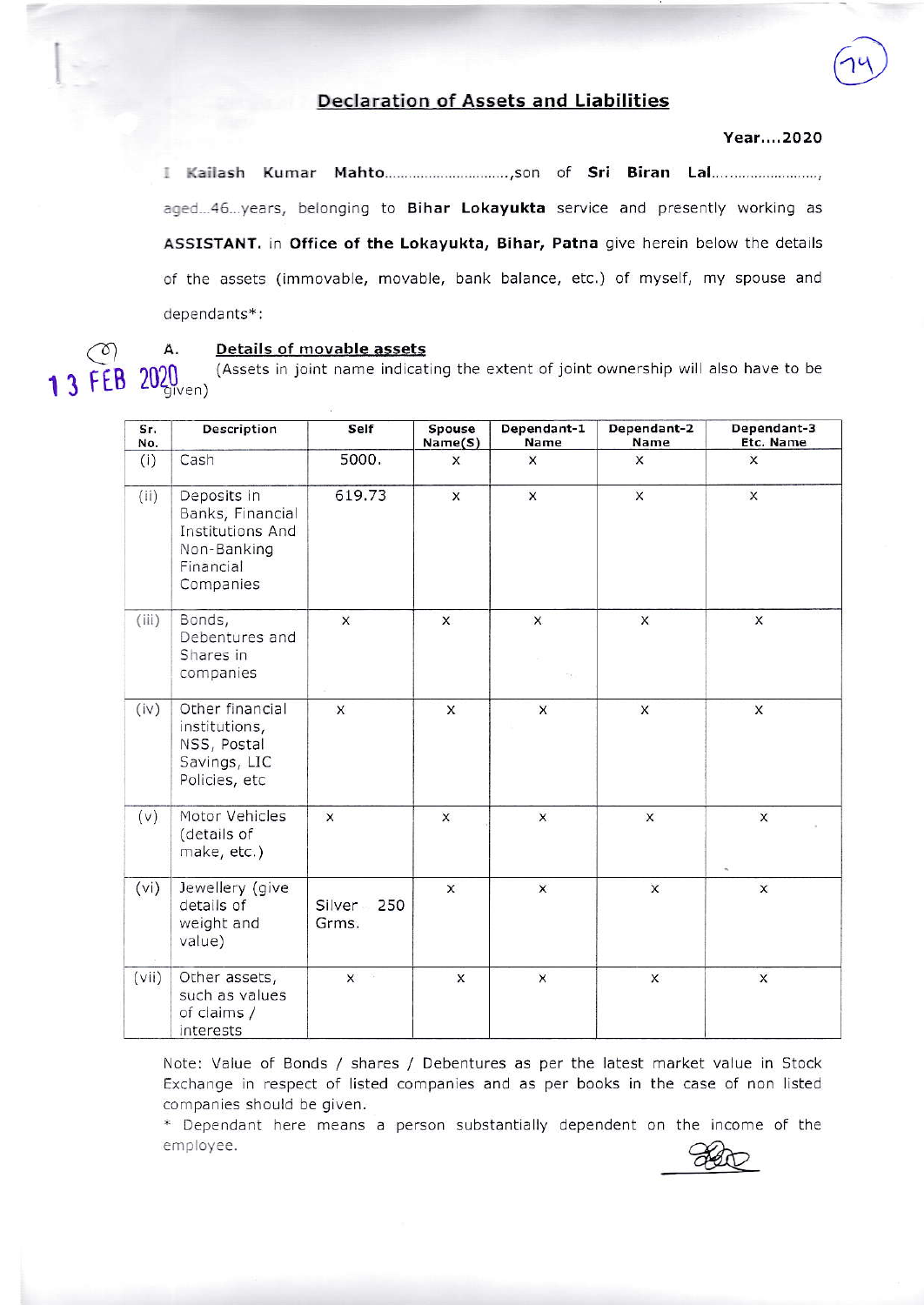## **Declaration of Assets and Liabilities**

## Year....2020

aged...46...years, belonging to Bihar Lokayukta service and presently working as ASSISTANT. in Office of the Lokayukta, Bihar, Patna give herein below the details of the assets (immovable, movable, bank balance, etc.) of myself, my spouse and dependants\*:

Α. Details of movable assets

(Assets in joint name indicating the extent of joint ownership will also have to be 1 3 FEB 2020<sub>9</sub><sub>Ven</sub>

| Sr.<br>No. | Description                                                                                         | Self                     | Spouse<br>Name(S) | Dependant-1<br>Name | Dependant-2<br>Name | Dependant-3<br>Etc. Name  |
|------------|-----------------------------------------------------------------------------------------------------|--------------------------|-------------------|---------------------|---------------------|---------------------------|
| (i)        | Cash                                                                                                | 5000.                    | $\times$          | X                   | $\mathsf{x}$        | $\boldsymbol{\mathsf{x}}$ |
| (ii)       | Deposits in<br>Banks, Financial<br><b>Institutions And</b><br>Non-Banking<br>Financial<br>Companies | 619.73                   | $\pmb{\times}$    | $\pmb{\times}$      | $\pmb{\times}$      | $\pmb{\times}$            |
| (iii)      | Bonds,<br>Debentures and<br>Shares in<br>companies                                                  | $\times$                 | X                 | X                   | $\times$            | X                         |
| (iv)       | Other financial<br>institutions,<br>NSS, Postal<br>Savings, LIC<br>Policies, etc                    | $\mathsf{x}$             | X                 | X                   | $\pmb{\times}$      | $\times$                  |
| (v)        | Motor Vehicles<br>(details of<br>make, etc.)                                                        | $\times$                 | $\times$          | $\mathsf{x}$        | $\mathsf X$         | $\mathsf{x}$              |
| (vi)       | Jewellery (give<br>details of<br>weight and<br>value)                                               | Silver -<br>250<br>Grms. | $\mathsf{x}$      | $\mathsf{x}$        | $\mathsf{x}$        | $\times$                  |
| (vii)      | Other assets,<br>such as values<br>of claims /<br>interests                                         | $\times$                 | $\times$          | $\mathsf{x}$        | $\mathsf{x}$        | $\mathsf{x}$              |

Note: Value of Bonds / shares / Debentures as per the latest market value in Stock Exchange in respect of listed companies and as per books in the case of non listed companies should be given.

\* Dependant here means a person substantially dependent on the income of the employee.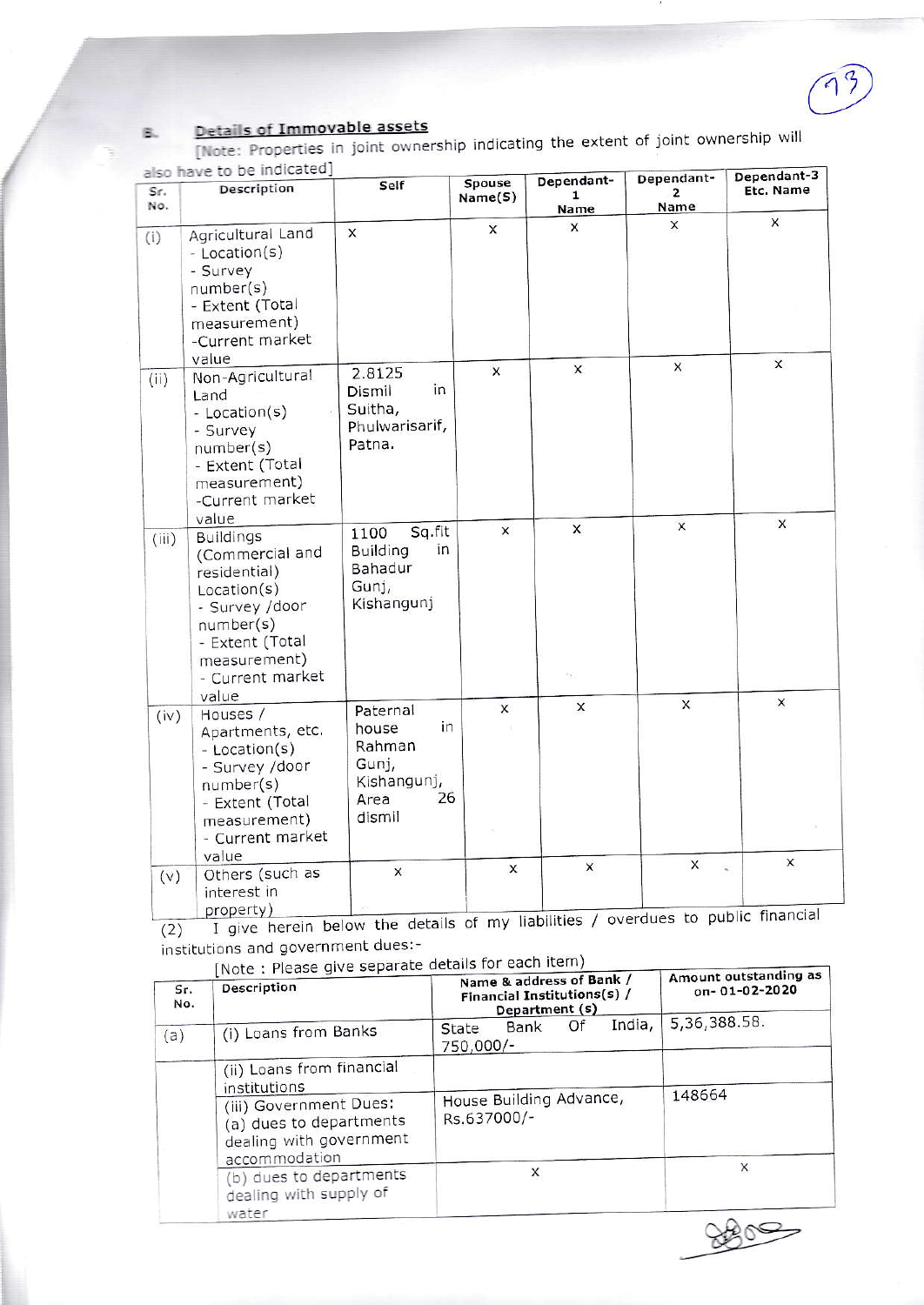## Details of Immovable assets 区.

[Note: Properties in joint ownership indicating the extent of joint ownership will to he indicated]

| Sr.<br>No. | <b>SISO HAVE TO DE INDICATED</b><br>Description                                                                                                                            | Self                                                                              | Spouse<br>Name(S)         | Dependant-<br>1<br>Name | Dependant-<br>$\overline{2}$<br>Name | Dependant-3<br>Etc. Name |
|------------|----------------------------------------------------------------------------------------------------------------------------------------------------------------------------|-----------------------------------------------------------------------------------|---------------------------|-------------------------|--------------------------------------|--------------------------|
| (i)        | Agricultural Land<br>- Location(s)<br>- Survey<br>number(s)<br>- Extent (Total<br>measurement)<br>-Current market<br>value                                                 | $\times$                                                                          | X                         | X                       | X                                    | $\mathsf{x}$             |
| (ii)       | Non-Agricultural<br>Land<br>- Location(s)<br>- Survey<br>number(s)<br>- Extent (Total<br>measurement)<br>-Current market                                                   | 2.8125<br>in<br>Dismil<br>Suitha,<br>Phulwarisarif,<br>Patna.                     | $\boldsymbol{\mathsf{x}}$ | $\times$                | X                                    | X                        |
| (iii)      | value<br><b>Buildings</b><br>(Commercial and<br>residential)<br>Location(s)<br>- Survey /door<br>number(s)<br>- Extent (Total<br>measurement)<br>- Current market<br>value | Sq.fit<br>1100<br>in<br><b>Building</b><br>Bahadur<br>Gunj,<br>Kishangunj         | $\mathsf{x}$              | X                       | $\times$                             | X                        |
| (iv)       | Houses /<br>Apartments, etc.<br>- Location(s)<br>- Survey /door<br>number(s)<br>- Extent (Total<br>measurement)<br>- Current market<br>value                               | Paternal<br>in<br>house<br>Rahman<br>Gunj,<br>Kishangunj,<br>26<br>Area<br>dismil | X                         | X                       | $\times$                             | X                        |
| (v)        | Others (such as<br>interest in<br>property)                                                                                                                                | X                                                                                 | X                         | X                       | $\mathsf{x}$                         | X.<br>W)                 |

(2) I give herein below the details of my liabilities / overdues to public financial institutions and government dues:-

[Note: Please give separate details for each item]

| Sr.<br>No. | $NOC$ . Picase give separate assembly<br>Description                                                                      | Name & address of Bank /<br>Financial Institutions(s) /<br>Department (s) | Amount outstanding as<br>on-01-02-2020 |  |  |
|------------|---------------------------------------------------------------------------------------------------------------------------|---------------------------------------------------------------------------|----------------------------------------|--|--|
| (a)        | (i) Loans from Banks                                                                                                      | India,<br>Of<br>Bank<br>State<br>750,000/-                                | 5,36,388.58.                           |  |  |
|            | (ii) Loans from financial<br>institutions<br>(iii) Government Dues:<br>(a) dues to departments<br>dealing with government | House Building Advance,<br>Rs.637000/-                                    | 148664                                 |  |  |
|            | accommodation<br>(b) dues to departments                                                                                  | X                                                                         | Χ                                      |  |  |
|            | dealing with supply of<br>water                                                                                           |                                                                           |                                        |  |  |
|            |                                                                                                                           |                                                                           |                                        |  |  |